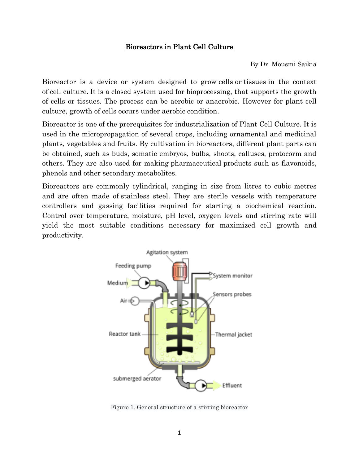## Bioreactors in Plant Cell Culture

By Dr. Mousmi Saikia

Bioreactor is a device or system designed to grow [cells](https://en.wikipedia.org/wiki/Cell_(biology)) or [tissues](https://en.wikipedia.org/wiki/Biological_tissue) in the context of [cell culture.](https://en.wikipedia.org/wiki/Cell_culture) It is a closed system used for bioprocessing, that supports the growth of cells or tissues. The process can be aerobic or anaerobic. However for plant cell culture, growth of cells occurs under aerobic condition.

Bioreactor is one of the prerequisites for industrialization of Plant Cell Culture. It is used in the micropropagation of several crops, including ornamental and medicinal plants, vegetables and fruits. By cultivation in bioreactors, different plant parts can be obtained, such as buds, somatic embryos, bulbs, shoots, calluses, protocorm and others. They are also used for making [pharmaceutical](https://www.spectacinternational.com/products/pharmaceutical/) products such as flavonoids, phenols and other secondary metabolites.

Bioreactors are commonly cylindrical, ranging in size from litres to cubic metres and are often made of [stainless steel.](https://en.wikipedia.org/wiki/Stainless_steel) They are sterile vessels with temperature controllers and gassing facilities required for starting a biochemical reaction. Control over temperature, moisture, pH level, oxygen levels and stirring rate will yield the most suitable conditions necessary for maximized cell growth and productivity.



Figure 1. General structure of a stirring bioreactor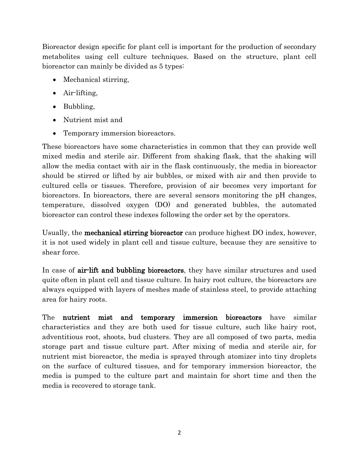Bioreactor design specific for plant cell is important for the production of secondary metabolites using cell culture techniques. Based on the structure, plant cell bioreactor can mainly be divided as 5 types:

- Mechanical stirring,
- Air-lifting,
- Bubbling,
- Nutrient mist and
- Temporary immersion bioreactors.

These bioreactors have some characteristics in common that they can provide well mixed media and sterile air. Different from shaking flask, that the shaking will allow the media contact with air in the flask continuously, the media in bioreactor should be stirred or lifted by air bubbles, or mixed with air and then provide to cultured cells or tissues. Therefore, provision of air becomes very important for bioreactors. In bioreactors, there are several sensors monitoring the pH changes, temperature, dissolved oxygen (DO) and generated bubbles, the automated bioreactor can control these indexes following the order set by the operators.

Usually, the mechanical stirring bioreactor can produce highest DO index, however, it is not used widely in plant cell and tissue culture, because they are sensitive to shear force.

In case of **air-lift and bubbling bioreactors**, they have similar structures and used quite often in plant cell and tissue culture. In hairy root culture, the bioreactors are always equipped with layers of meshes made of stainless steel, to provide attaching area for hairy roots.

The nutrient mist and temporary immersion bioreactors have similar characteristics and they are both used for tissue culture, such like hairy root, adventitious root, shoots, bud clusters. They are all composed of two parts, media storage part and tissue culture part. After mixing of media and sterile air, for nutrient mist bioreactor, the media is sprayed through atomizer into tiny droplets on the surface of cultured tissues, and for temporary immersion bioreactor, the media is pumped to the culture part and maintain for short time and then the media is recovered to storage tank.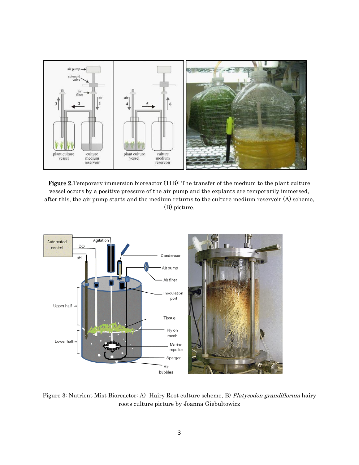

Figure 2.Temporary immersion bioreactor (TIB): The transfer of the medium to the plant culture vessel occurs by a positive pressure of the air pump and the explants are temporarily immersed, after this, the air pump starts and the medium returns to the culture medium reservoir (A) scheme, (B) picture.



Figure 3: Nutrient Mist Bioreactor: A) Hairy Root [culture scheme, B\)](https://link.springer.com/protocol/10.1007/978-1-4939-3332-7_17) Platycodon grandiflorum hairy roots culture picture by Joanna [Giebułtowicz](https://www.researchgate.net/profile/Joanna_Giebuttowicz)